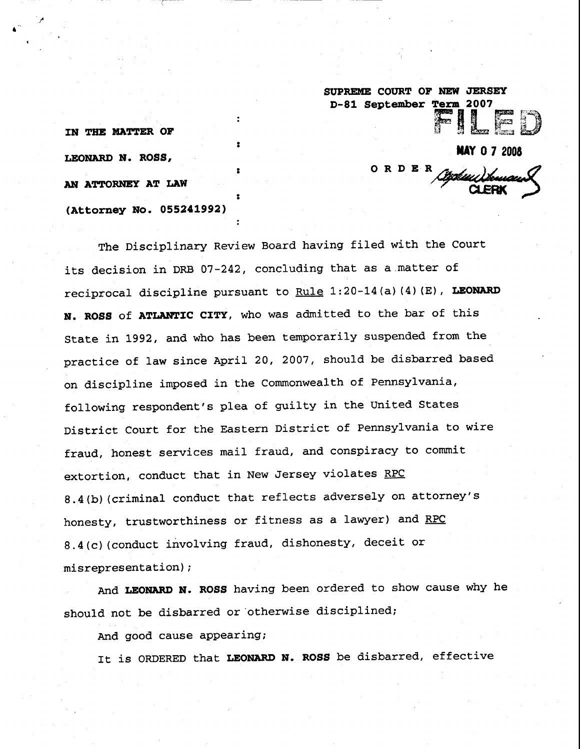**SUPREME COURT OF NEW JERSEY D-81 September Term 2007** 医的 **MAY 0 7 2008 o R D E**<u>Cépheu Sou</u>

**IN THE MATTER OF LEONARD N. ROSS, AN ATTORNEY AT LAW** (Attorney No. 055241992)

The Disciplinary Review Board having filed with the Court its decision in DRB 07-242, concluding that as a matter of reciprocal discipline pursuant to Rule 1:20-14(a)(4)(E), LEONARD N. ROSS of ATLANTIC CITY, who was admitted to the bar of this State in 1992, and who has been temporarily suspended from the practice of law since April 20, 2007, should be disbarred based on discipline imposed in the Commonwealth of Pennsylvania, following respondent's plea of guilty in the United States District Court for the Eastern District of Pennsylvania to wire fraud, honest services mail fraud, and conspiracy to commit extortion, conduct that in New Jersey violates RPC 8.4(b) (criminal conduct that reflects adversely on attorney's honesty, trustworthiness or fitness as a lawyer) and RPC 8.4(c) (conduct involving fraud, dishonesty, deceit or misrepresentation);

:

And LEONARD N. ROSS having been ordered to show cause why he should not be disbarred or otherwise disciplined;

And good cause appearing;

It is ORDERED that LEONARD N. ROSS be disbarred, effective